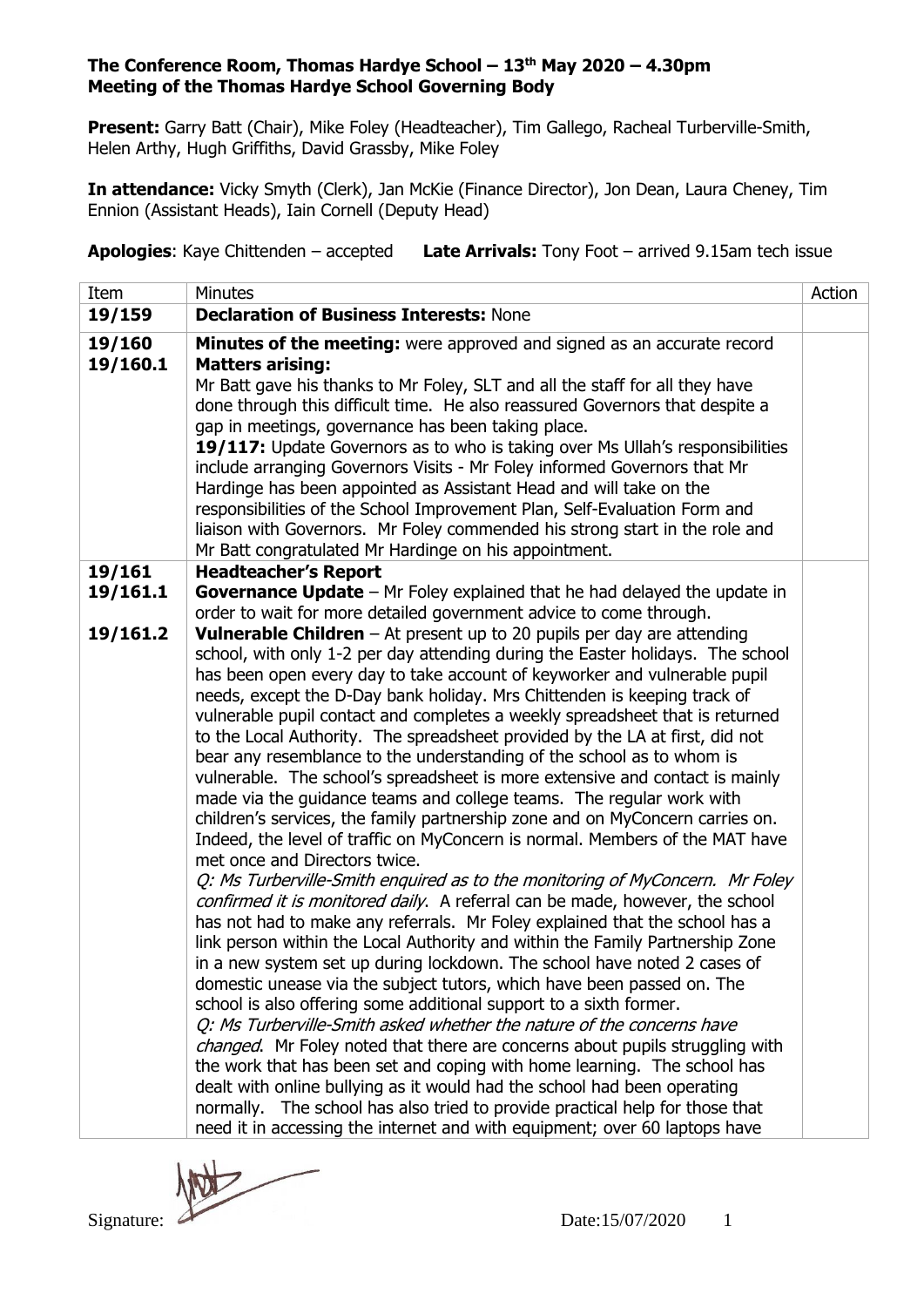**Present:** Garry Batt (Chair), Mike Foley (Headteacher), Tim Gallego, Racheal Turberville-Smith, Helen Arthy, Hugh Griffiths, David Grassby, Mike Foley

**In attendance:** Vicky Smyth (Clerk), Jan McKie (Finance Director), Jon Dean, Laura Cheney, Tim Ennion (Assistant Heads), Iain Cornell (Deputy Head)

**Apologies**: Kaye Chittenden – accepted **Late Arrivals:** Tony Foot – arrived 9.15am tech issue

| Item     | <b>Minutes</b>                                                                                                                                            | Action |  |  |
|----------|-----------------------------------------------------------------------------------------------------------------------------------------------------------|--------|--|--|
| 19/159   | <b>Declaration of Business Interests: None</b>                                                                                                            |        |  |  |
| 19/160   | <b>Minutes of the meeting:</b> were approved and signed as an accurate record                                                                             |        |  |  |
| 19/160.1 | <b>Matters arising:</b>                                                                                                                                   |        |  |  |
|          | Mr Batt gave his thanks to Mr Foley, SLT and all the staff for all they have                                                                              |        |  |  |
|          | done through this difficult time. He also reassured Governors that despite a<br>gap in meetings, governance has been taking place.                        |        |  |  |
|          | 19/117: Update Governors as to who is taking over Ms Ullah's responsibilities                                                                             |        |  |  |
|          | include arranging Governors Visits - Mr Foley informed Governors that Mr                                                                                  |        |  |  |
|          | Hardinge has been appointed as Assistant Head and will take on the                                                                                        |        |  |  |
|          | responsibilities of the School Improvement Plan, Self-Evaluation Form and                                                                                 |        |  |  |
|          | liaison with Governors. Mr Foley commended his strong start in the role and                                                                               |        |  |  |
|          | Mr Batt congratulated Mr Hardinge on his appointment.                                                                                                     |        |  |  |
| 19/161   | <b>Headteacher's Report</b>                                                                                                                               |        |  |  |
| 19/161.1 | <b>Governance Update</b> – Mr Foley explained that he had delayed the update in                                                                           |        |  |  |
| 19/161.2 | order to wait for more detailed government advice to come through.<br><b>Vulnerable Children</b> $-$ At present up to 20 pupils per day are attending     |        |  |  |
|          | school, with only 1-2 per day attending during the Easter holidays. The school                                                                            |        |  |  |
|          | has been open every day to take account of keyworker and vulnerable pupil                                                                                 |        |  |  |
|          | needs, except the D-Day bank holiday. Mrs Chittenden is keeping track of                                                                                  |        |  |  |
|          | vulnerable pupil contact and completes a weekly spreadsheet that is returned                                                                              |        |  |  |
|          | to the Local Authority. The spreadsheet provided by the LA at first, did not                                                                              |        |  |  |
|          | bear any resemblance to the understanding of the school as to whom is                                                                                     |        |  |  |
|          | vulnerable. The school's spreadsheet is more extensive and contact is mainly<br>made via the guidance teams and college teams. The regular work with      |        |  |  |
|          | children's services, the family partnership zone and on MyConcern carries on.                                                                             |        |  |  |
|          | Indeed, the level of traffic on MyConcern is normal. Members of the MAT have                                                                              |        |  |  |
|          | met once and Directors twice.                                                                                                                             |        |  |  |
|          | Q: Ms Turberville-Smith enquired as to the monitoring of MyConcern. Mr Foley                                                                              |        |  |  |
|          | confirmed it is monitored daily. A referral can be made, however, the school                                                                              |        |  |  |
|          | has not had to make any referrals. Mr Foley explained that the school has a                                                                               |        |  |  |
|          | link person within the Local Authority and within the Family Partnership Zone<br>in a new system set up during lockdown. The school have noted 2 cases of |        |  |  |
|          | domestic unease via the subject tutors, which have been passed on. The                                                                                    |        |  |  |
|          | school is also offering some additional support to a sixth former.                                                                                        |        |  |  |
|          | Q: Ms Turberville-Smith asked whether the nature of the concerns have                                                                                     |        |  |  |
|          | changed. Mr Foley noted that there are concerns about pupils struggling with                                                                              |        |  |  |
|          | the work that has been set and coping with home learning. The school has                                                                                  |        |  |  |
|          | dealt with online bullying as it would had the school had been operating                                                                                  |        |  |  |
|          | The school has also tried to provide practical help for those that<br>normally.                                                                           |        |  |  |
|          | need it in accessing the internet and with equipment; over 60 laptops have                                                                                |        |  |  |

Signature: 2000 1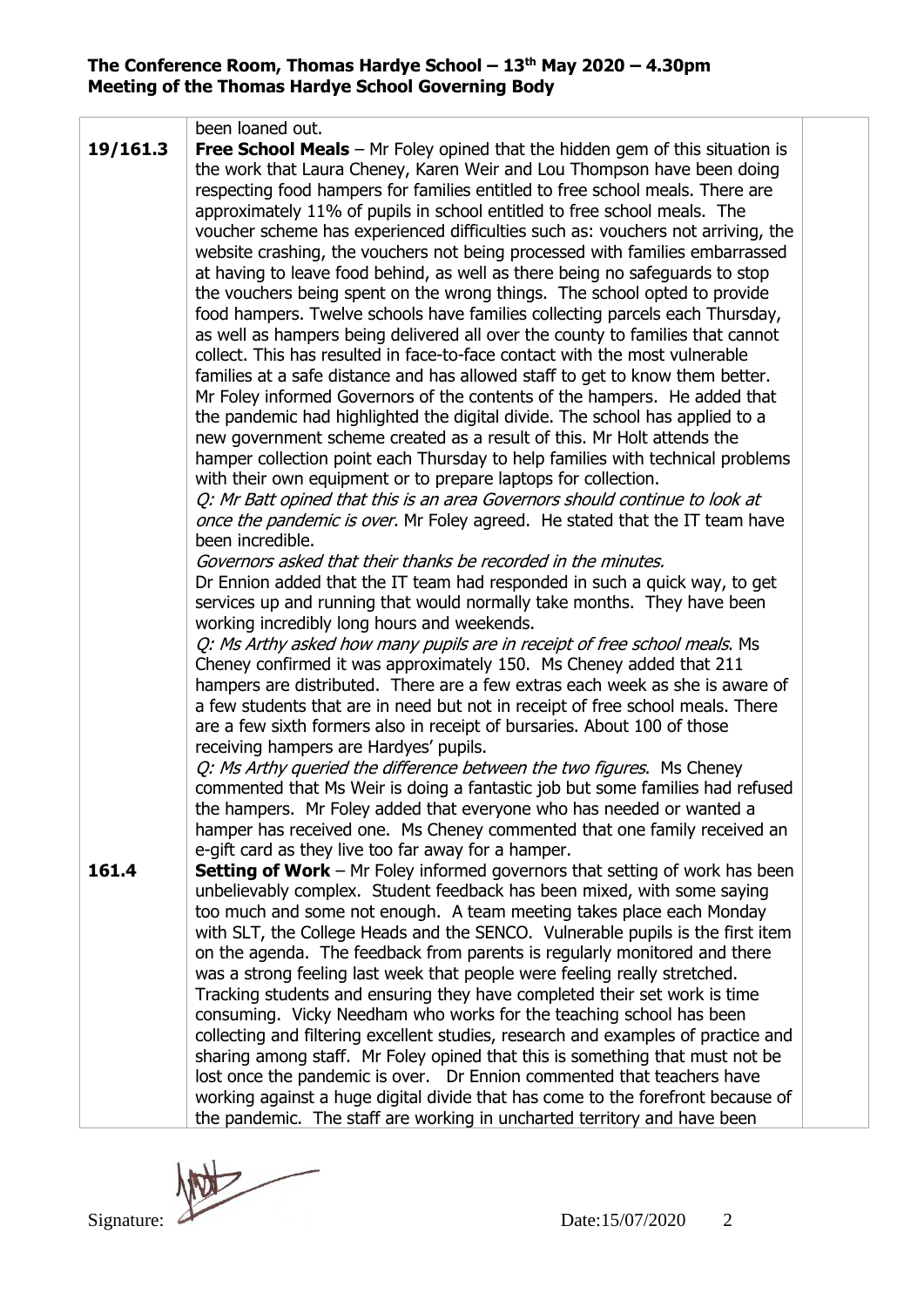|          | been loaned out.                                                                                                                                                                                                                                                                                                                                                                                                                                                                                                                                                                                                                                                                                                                                                                                                                                                                                                                                                                                                                                                                                                                                                                                                                                                                                                                                                                                                                                                                                                                                                                                                                                                                                                                                                                                                                                                                                                                                                                                                                                                                                                                                                                                                                                                                                                                                                                                                                                                                                                                                                                                                |  |  |
|----------|-----------------------------------------------------------------------------------------------------------------------------------------------------------------------------------------------------------------------------------------------------------------------------------------------------------------------------------------------------------------------------------------------------------------------------------------------------------------------------------------------------------------------------------------------------------------------------------------------------------------------------------------------------------------------------------------------------------------------------------------------------------------------------------------------------------------------------------------------------------------------------------------------------------------------------------------------------------------------------------------------------------------------------------------------------------------------------------------------------------------------------------------------------------------------------------------------------------------------------------------------------------------------------------------------------------------------------------------------------------------------------------------------------------------------------------------------------------------------------------------------------------------------------------------------------------------------------------------------------------------------------------------------------------------------------------------------------------------------------------------------------------------------------------------------------------------------------------------------------------------------------------------------------------------------------------------------------------------------------------------------------------------------------------------------------------------------------------------------------------------------------------------------------------------------------------------------------------------------------------------------------------------------------------------------------------------------------------------------------------------------------------------------------------------------------------------------------------------------------------------------------------------------------------------------------------------------------------------------------------------|--|--|
| 19/161.3 | <b>Free School Meals</b> $-$ Mr Foley opined that the hidden gem of this situation is<br>the work that Laura Cheney, Karen Weir and Lou Thompson have been doing<br>respecting food hampers for families entitled to free school meals. There are<br>approximately 11% of pupils in school entitled to free school meals. The<br>voucher scheme has experienced difficulties such as: vouchers not arriving, the<br>website crashing, the vouchers not being processed with families embarrassed<br>at having to leave food behind, as well as there being no safeguards to stop<br>the vouchers being spent on the wrong things. The school opted to provide<br>food hampers. Twelve schools have families collecting parcels each Thursday,<br>as well as hampers being delivered all over the county to families that cannot<br>collect. This has resulted in face-to-face contact with the most vulnerable<br>families at a safe distance and has allowed staff to get to know them better.<br>Mr Foley informed Governors of the contents of the hampers. He added that<br>the pandemic had highlighted the digital divide. The school has applied to a<br>new government scheme created as a result of this. Mr Holt attends the<br>hamper collection point each Thursday to help families with technical problems<br>with their own equipment or to prepare laptops for collection.<br>Q: Mr Batt opined that this is an area Governors should continue to look at<br>once the pandemic is over. Mr Foley agreed. He stated that the IT team have<br>been incredible.<br>Governors asked that their thanks be recorded in the minutes.<br>Dr Ennion added that the IT team had responded in such a quick way, to get<br>services up and running that would normally take months. They have been<br>working incredibly long hours and weekends.<br>Q: Ms Arthy asked how many pupils are in receipt of free school meals. Ms<br>Cheney confirmed it was approximately 150. Ms Cheney added that 211<br>hampers are distributed. There are a few extras each week as she is aware of<br>a few students that are in need but not in receipt of free school meals. There<br>are a few sixth formers also in receipt of bursaries. About 100 of those<br>receiving hampers are Hardyes' pupils.<br>Q: Ms Arthy queried the difference between the two figures. Ms Cheney<br>commented that Ms Weir is doing a fantastic job but some families had refused<br>the hampers. Mr Foley added that everyone who has needed or wanted a<br>hamper has received one. Ms Cheney commented that one family received an |  |  |
| 161.4    | e-gift card as they live too far away for a hamper.<br><b>Setting of Work</b> – Mr Foley informed governors that setting of work has been                                                                                                                                                                                                                                                                                                                                                                                                                                                                                                                                                                                                                                                                                                                                                                                                                                                                                                                                                                                                                                                                                                                                                                                                                                                                                                                                                                                                                                                                                                                                                                                                                                                                                                                                                                                                                                                                                                                                                                                                                                                                                                                                                                                                                                                                                                                                                                                                                                                                       |  |  |
|          | unbelievably complex. Student feedback has been mixed, with some saying<br>too much and some not enough. A team meeting takes place each Monday                                                                                                                                                                                                                                                                                                                                                                                                                                                                                                                                                                                                                                                                                                                                                                                                                                                                                                                                                                                                                                                                                                                                                                                                                                                                                                                                                                                                                                                                                                                                                                                                                                                                                                                                                                                                                                                                                                                                                                                                                                                                                                                                                                                                                                                                                                                                                                                                                                                                 |  |  |
|          | with SLT, the College Heads and the SENCO. Vulnerable pupils is the first item                                                                                                                                                                                                                                                                                                                                                                                                                                                                                                                                                                                                                                                                                                                                                                                                                                                                                                                                                                                                                                                                                                                                                                                                                                                                                                                                                                                                                                                                                                                                                                                                                                                                                                                                                                                                                                                                                                                                                                                                                                                                                                                                                                                                                                                                                                                                                                                                                                                                                                                                  |  |  |
|          | on the agenda. The feedback from parents is regularly monitored and there                                                                                                                                                                                                                                                                                                                                                                                                                                                                                                                                                                                                                                                                                                                                                                                                                                                                                                                                                                                                                                                                                                                                                                                                                                                                                                                                                                                                                                                                                                                                                                                                                                                                                                                                                                                                                                                                                                                                                                                                                                                                                                                                                                                                                                                                                                                                                                                                                                                                                                                                       |  |  |
|          | was a strong feeling last week that people were feeling really stretched.                                                                                                                                                                                                                                                                                                                                                                                                                                                                                                                                                                                                                                                                                                                                                                                                                                                                                                                                                                                                                                                                                                                                                                                                                                                                                                                                                                                                                                                                                                                                                                                                                                                                                                                                                                                                                                                                                                                                                                                                                                                                                                                                                                                                                                                                                                                                                                                                                                                                                                                                       |  |  |
|          | Tracking students and ensuring they have completed their set work is time<br>consuming. Vicky Needham who works for the teaching school has been                                                                                                                                                                                                                                                                                                                                                                                                                                                                                                                                                                                                                                                                                                                                                                                                                                                                                                                                                                                                                                                                                                                                                                                                                                                                                                                                                                                                                                                                                                                                                                                                                                                                                                                                                                                                                                                                                                                                                                                                                                                                                                                                                                                                                                                                                                                                                                                                                                                                |  |  |
|          | collecting and filtering excellent studies, research and examples of practice and                                                                                                                                                                                                                                                                                                                                                                                                                                                                                                                                                                                                                                                                                                                                                                                                                                                                                                                                                                                                                                                                                                                                                                                                                                                                                                                                                                                                                                                                                                                                                                                                                                                                                                                                                                                                                                                                                                                                                                                                                                                                                                                                                                                                                                                                                                                                                                                                                                                                                                                               |  |  |
|          | sharing among staff. Mr Foley opined that this is something that must not be                                                                                                                                                                                                                                                                                                                                                                                                                                                                                                                                                                                                                                                                                                                                                                                                                                                                                                                                                                                                                                                                                                                                                                                                                                                                                                                                                                                                                                                                                                                                                                                                                                                                                                                                                                                                                                                                                                                                                                                                                                                                                                                                                                                                                                                                                                                                                                                                                                                                                                                                    |  |  |
|          | lost once the pandemic is over. Dr Ennion commented that teachers have                                                                                                                                                                                                                                                                                                                                                                                                                                                                                                                                                                                                                                                                                                                                                                                                                                                                                                                                                                                                                                                                                                                                                                                                                                                                                                                                                                                                                                                                                                                                                                                                                                                                                                                                                                                                                                                                                                                                                                                                                                                                                                                                                                                                                                                                                                                                                                                                                                                                                                                                          |  |  |
|          | working against a huge digital divide that has come to the forefront because of                                                                                                                                                                                                                                                                                                                                                                                                                                                                                                                                                                                                                                                                                                                                                                                                                                                                                                                                                                                                                                                                                                                                                                                                                                                                                                                                                                                                                                                                                                                                                                                                                                                                                                                                                                                                                                                                                                                                                                                                                                                                                                                                                                                                                                                                                                                                                                                                                                                                                                                                 |  |  |
|          | the pandemic. The staff are working in uncharted territory and have been                                                                                                                                                                                                                                                                                                                                                                                                                                                                                                                                                                                                                                                                                                                                                                                                                                                                                                                                                                                                                                                                                                                                                                                                                                                                                                                                                                                                                                                                                                                                                                                                                                                                                                                                                                                                                                                                                                                                                                                                                                                                                                                                                                                                                                                                                                                                                                                                                                                                                                                                        |  |  |

Signature: 2000 2<br>Date:15/07/2020 2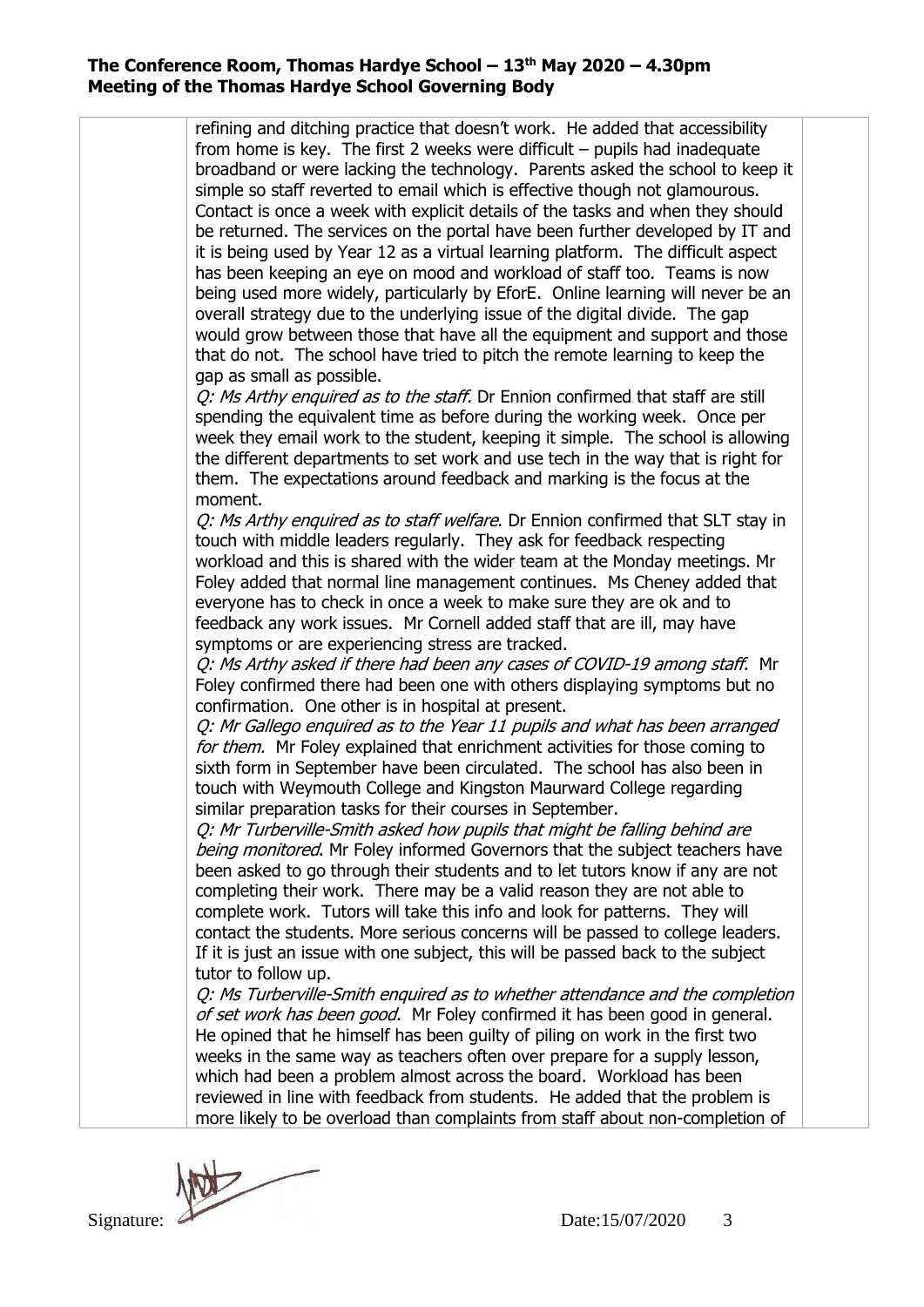| broadband or were lacking the technology. Parents asked the school to keep it<br>simple so staff reverted to email which is effective though not glamourous.<br>Contact is once a week with explicit details of the tasks and when they should<br>be returned. The services on the portal have been further developed by IT and                                                                              |  |
|--------------------------------------------------------------------------------------------------------------------------------------------------------------------------------------------------------------------------------------------------------------------------------------------------------------------------------------------------------------------------------------------------------------|--|
| it is being used by Year 12 as a virtual learning platform. The difficult aspect<br>has been keeping an eye on mood and workload of staff too. Teams is now<br>being used more widely, particularly by EforE. Online learning will never be an                                                                                                                                                               |  |
| overall strategy due to the underlying issue of the digital divide. The gap<br>would grow between those that have all the equipment and support and those<br>that do not. The school have tried to pitch the remote learning to keep the<br>gap as small as possible.                                                                                                                                        |  |
| Q: Ms Arthy enquired as to the staff. Dr Ennion confirmed that staff are still<br>spending the equivalent time as before during the working week. Once per<br>week they email work to the student, keeping it simple. The school is allowing<br>the different departments to set work and use tech in the way that is right for                                                                              |  |
| them. The expectations around feedback and marking is the focus at the<br>moment.                                                                                                                                                                                                                                                                                                                            |  |
| Q: Ms Arthy enquired as to staff welfare. Dr Ennion confirmed that SLT stay in<br>touch with middle leaders regularly. They ask for feedback respecting<br>workload and this is shared with the wider team at the Monday meetings. Mr                                                                                                                                                                        |  |
| Foley added that normal line management continues. Ms Cheney added that<br>everyone has to check in once a week to make sure they are ok and to<br>feedback any work issues. Mr Cornell added staff that are ill, may have                                                                                                                                                                                   |  |
| symptoms or are experiencing stress are tracked.<br>Q: Ms Arthy asked if there had been any cases of COVID-19 among staff. Mr<br>Foley confirmed there had been one with others displaying symptoms but no<br>confirmation. One other is in hospital at present.                                                                                                                                             |  |
| Q: Mr Gallego enquired as to the Year 11 pupils and what has been arranged<br>for them. Mr Foley explained that enrichment activities for those coming to<br>sixth form in September have been circulated. The school has also been in<br>touch with Weymouth College and Kingston Maurward College regarding                                                                                                |  |
| similar preparation tasks for their courses in September.<br>Q: Mr Turberville-Smith asked how pupils that might be falling behind are<br>being monitored. Mr Foley informed Governors that the subject teachers have                                                                                                                                                                                        |  |
| been asked to go through their students and to let tutors know if any are not<br>completing their work. There may be a valid reason they are not able to<br>complete work. Tutors will take this info and look for patterns. They will<br>contact the students. More serious concerns will be passed to college leaders.<br>If it is just an issue with one subject, this will be passed back to the subject |  |
| tutor to follow up.<br>Q: Ms Turberville-Smith enquired as to whether attendance and the completion<br>of set work has been good. Mr Foley confirmed it has been good in general.<br>He opined that he himself has been guilty of piling on work in the first two                                                                                                                                            |  |
| weeks in the same way as teachers often over prepare for a supply lesson,<br>which had been a problem almost across the board. Workload has been<br>reviewed in line with feedback from students. He added that the problem is<br>more likely to be overload than complaints from staff about non-completion of                                                                                              |  |
|                                                                                                                                                                                                                                                                                                                                                                                                              |  |
| Date:15/07/2020<br>3<br>Signature:                                                                                                                                                                                                                                                                                                                                                                           |  |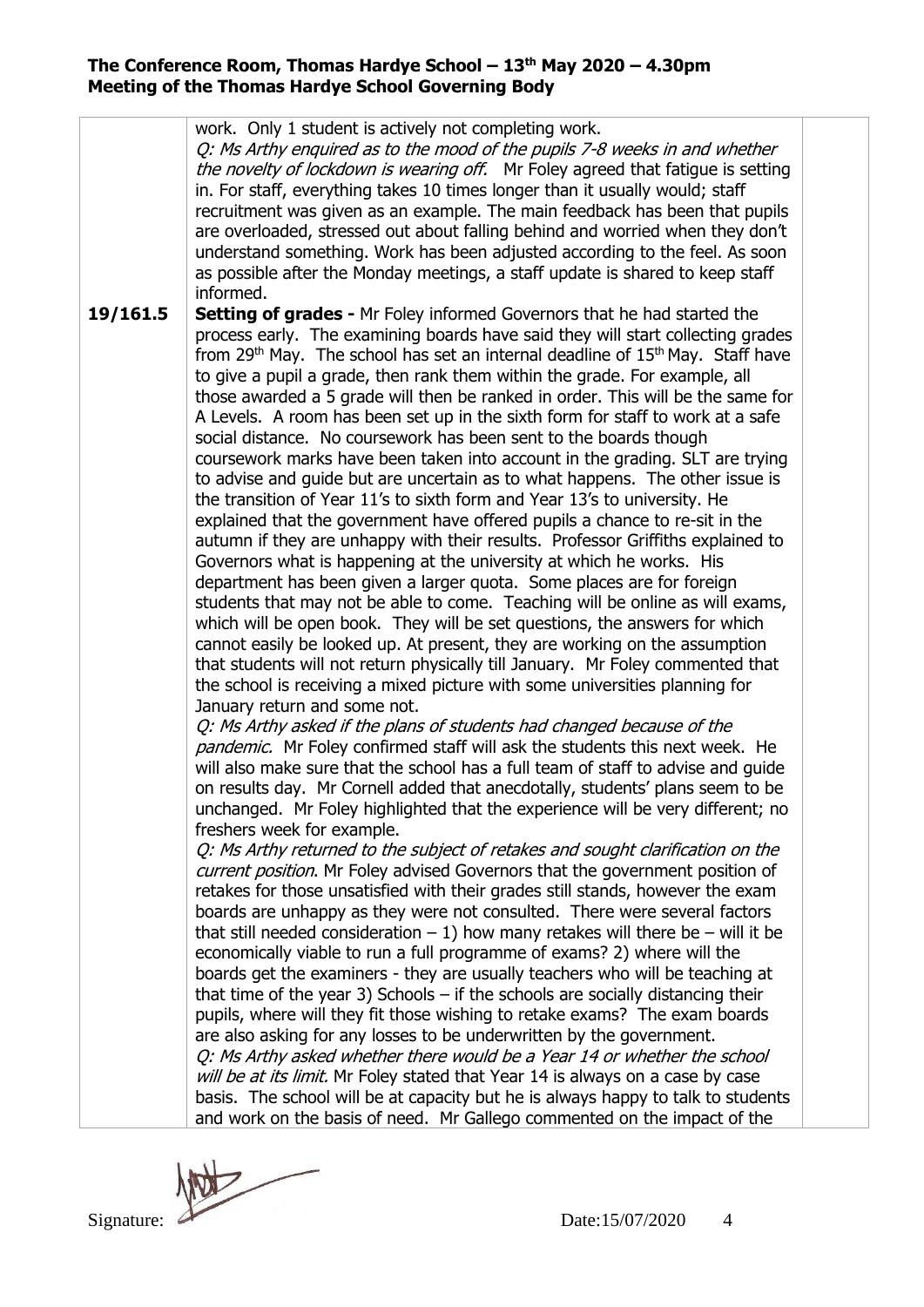**19/161.5** work. Only 1 student is actively not completing work. Q: Ms Arthy enquired as to the mood of the pupils 7-8 weeks in and whether the novelty of lockdown is wearing off. Mr Foley agreed that fatigue is setting in. For staff, everything takes 10 times longer than it usually would; staff recruitment was given as an example. The main feedback has been that pupils are overloaded, stressed out about falling behind and worried when they don't understand something. Work has been adjusted according to the feel. As soon as possible after the Monday meetings, a staff update is shared to keep staff informed. **Setting of grades -** Mr Foley informed Governors that he had started the process early. The examining boards have said they will start collecting grades from 29th May. The school has set an internal deadline of 15th May. Staff have to give a pupil a grade, then rank them within the grade. For example, all those awarded a 5 grade will then be ranked in order. This will be the same for A Levels. A room has been set up in the sixth form for staff to work at a safe social distance. No coursework has been sent to the boards though coursework marks have been taken into account in the grading. SLT are trying to advise and guide but are uncertain as to what happens. The other issue is the transition of Year 11's to sixth form and Year 13's to university. He explained that the government have offered pupils a chance to re-sit in the autumn if they are unhappy with their results.Professor Griffiths explained to Governors what is happening at the university at which he works. His department has been given a larger quota. Some places are for foreign students that may not be able to come. Teaching will be online as will exams, which will be open book. They will be set questions, the answers for which cannot easily be looked up. At present, they are working on the assumption that students will not return physically till January. Mr Foley commented that the school is receiving a mixed picture with some universities planning for January return and some not. Q: Ms Arthy asked if the plans of students had changed because of the pandemic. Mr Foley confirmed staff will ask the students this next week. He will also make sure that the school has a full team of staff to advise and guide on results day. Mr Cornell added that anecdotally, students' plans seem to be unchanged. Mr Foley highlighted that the experience will be very different; no freshers week for example. Q: Ms Arthy returned to the subject of retakes and sought clarification on the current position. Mr Foley advised Governors that the government position of retakes for those unsatisfied with their grades still stands, however the exam boards are unhappy as they were not consulted. There were several factors that still needed consideration  $-1$ ) how many retakes will there be – will it be economically viable to run a full programme of exams? 2) where will the boards get the examiners - they are usually teachers who will be teaching at that time of the year 3) Schools  $-$  if the schools are socially distancing their pupils, where will they fit those wishing to retake exams? The exam boards are also asking for any losses to be underwritten by the government. Q: Ms Arthy asked whether there would be a Year 14 or whether the school will be at its limit. Mr Foley stated that Year 14 is always on a case by case basis. The school will be at capacity but he is always happy to talk to students and work on the basis of need. Mr Gallego commented on the impact of the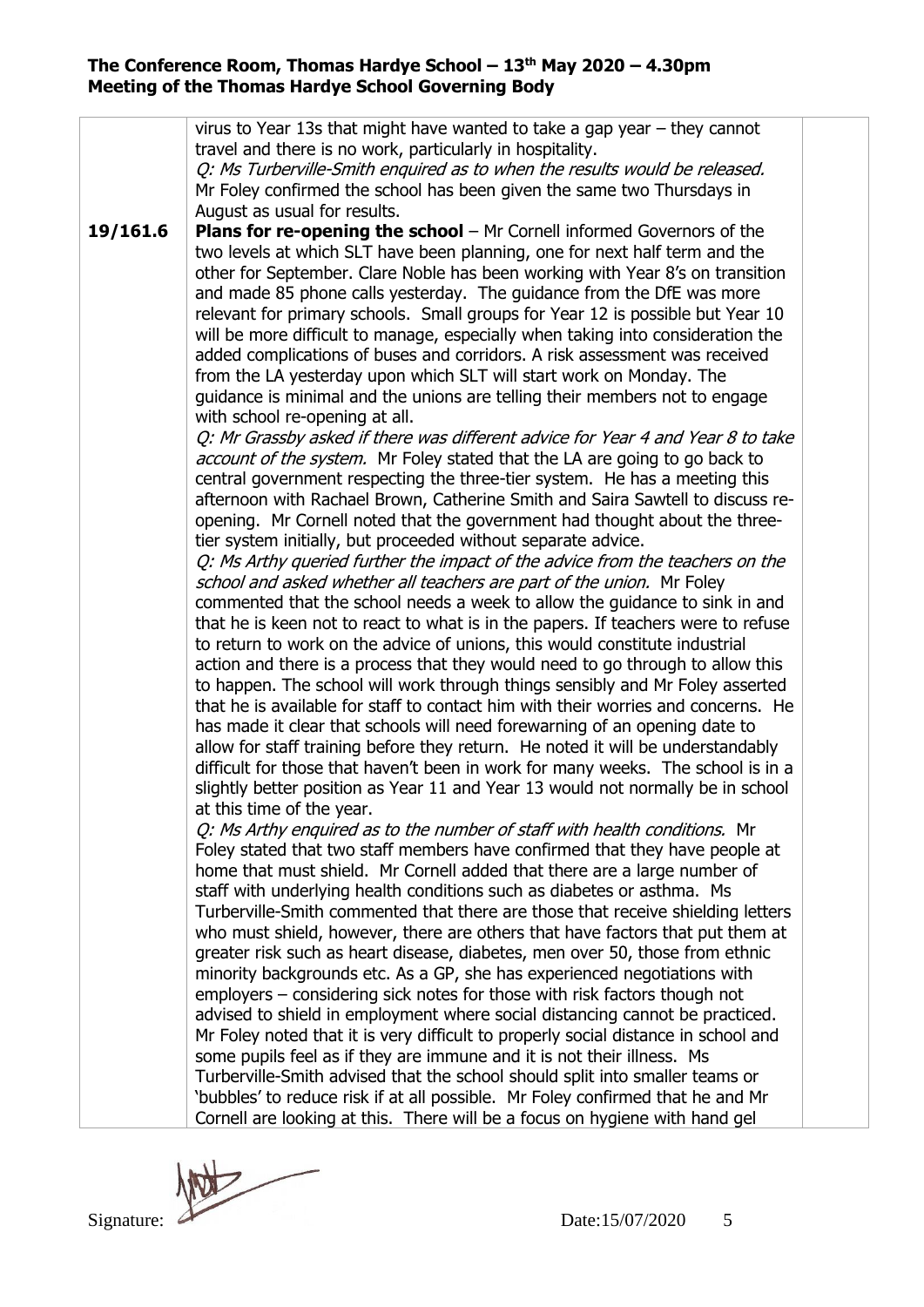**19/161.6** virus to Year 13s that might have wanted to take a gap year – they cannot travel and there is no work, particularly in hospitality. Q: Ms Turberville-Smith enquired as to when the results would be released. Mr Foley confirmed the school has been given the same two Thursdays in August as usual for results. **Plans for re-opening the school** – Mr Cornell informed Governors of the two levels at which SLT have been planning, one for next half term and the other for September. Clare Noble has been working with Year 8's on transition and made 85 phone calls yesterday. The guidance from the DfE was more relevant for primary schools. Small groups for Year 12 is possible but Year 10 will be more difficult to manage, especially when taking into consideration the added complications of buses and corridors. A risk assessment was received from the LA yesterday upon which SLT will start work on Monday. The guidance is minimal and the unions are telling their members not to engage with school re-opening at all. Q: Mr Grassby asked if there was different advice for Year 4 and Year 8 to take account of the system. Mr Foley stated that the LA are going to go back to central government respecting the three-tier system. He has a meeting this afternoon with Rachael Brown, Catherine Smith and Saira Sawtell to discuss reopening. Mr Cornell noted that the government had thought about the threetier system initially, but proceeded without separate advice. Q: Ms Arthy queried further the impact of the advice from the teachers on the school and asked whether all teachers are part of the union. Mr Foley commented that the school needs a week to allow the guidance to sink in and that he is keen not to react to what is in the papers. If teachers were to refuse to return to work on the advice of unions, this would constitute industrial action and there is a process that they would need to go through to allow this to happen. The school will work through things sensibly and Mr Foley asserted that he is available for staff to contact him with their worries and concerns. He has made it clear that schools will need forewarning of an opening date to allow for staff training before they return. He noted it will be understandably difficult for those that haven't been in work for many weeks. The school is in a slightly better position as Year 11 and Year 13 would not normally be in school at this time of the year. Q: Ms Arthy enquired as to the number of staff with health conditions. Mr Foley stated that two staff members have confirmed that they have people at home that must shield. Mr Cornell added that there are a large number of staff with underlying health conditions such as diabetes or asthma. Ms Turberville-Smith commented that there are those that receive shielding letters who must shield, however, there are others that have factors that put them at greater risk such as heart disease, diabetes, men over 50, those from ethnic minority backgrounds etc. As a GP, she has experienced negotiations with employers – considering sick notes for those with risk factors though not advised to shield in employment where social distancing cannot be practiced. Mr Foley noted that it is very difficult to properly social distance in school and some pupils feel as if they are immune and it is not their illness. Ms Turberville-Smith advised that the school should split into smaller teams or 'bubbles' to reduce risk if at all possible. Mr Foley confirmed that he and Mr Cornell are looking at this. There will be a focus on hygiene with hand gel

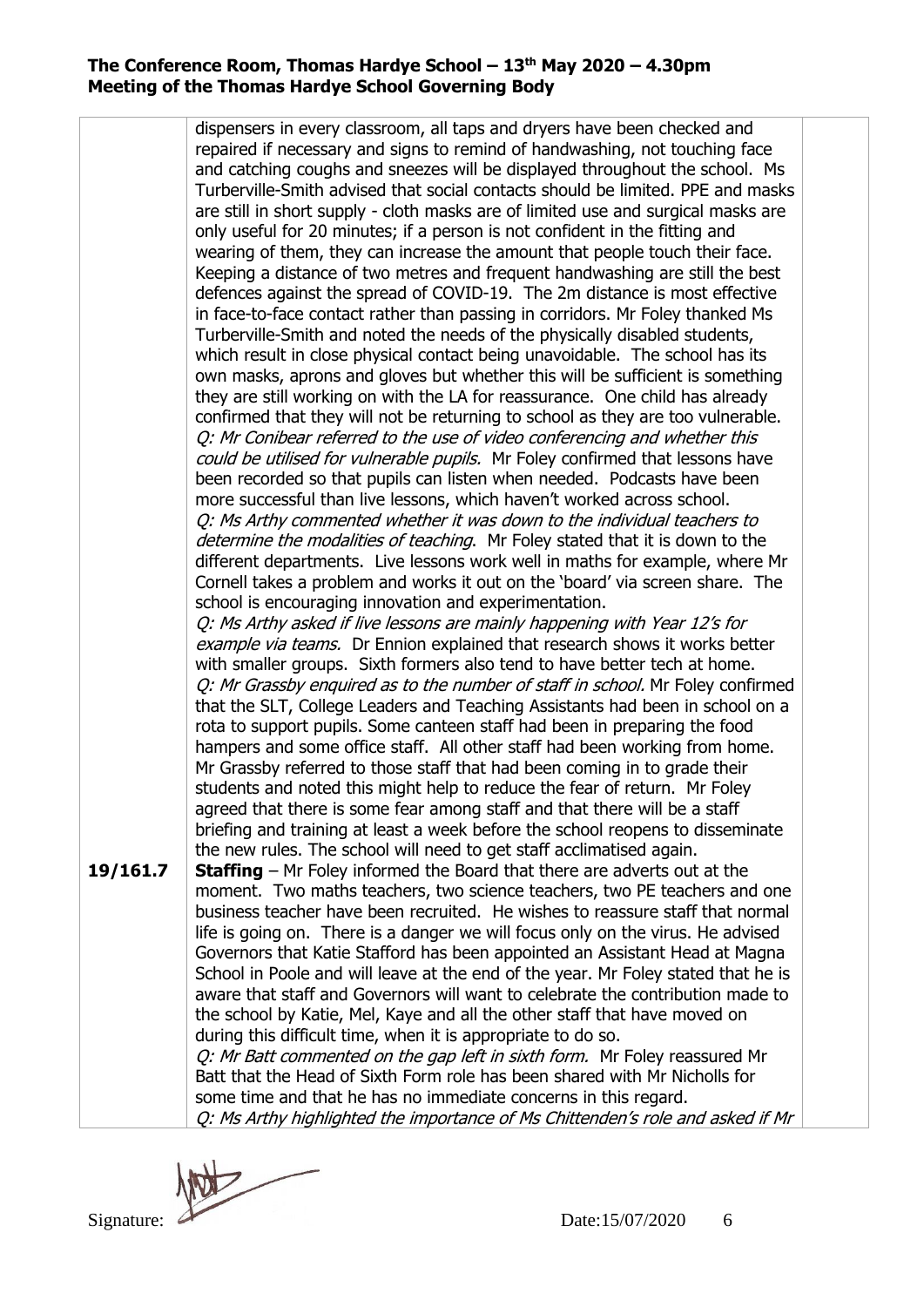**19/161.7** dispensers in every classroom, all taps and dryers have been checked and repaired if necessary and signs to remind of handwashing, not touching face and catching coughs and sneezes will be displayed throughout the school. Ms Turberville-Smith advised that social contacts should be limited. PPE and masks are still in short supply - cloth masks are of limited use and surgical masks are only useful for 20 minutes; if a person is not confident in the fitting and wearing of them, they can increase the amount that people touch their face. Keeping a distance of two metres and frequent handwashing are still the best defences against the spread of COVID-19. The 2m distance is most effective in face-to-face contact rather than passing in corridors. Mr Foley thanked Ms Turberville-Smith and noted the needs of the physically disabled students, which result in close physical contact being unavoidable. The school has its own masks, aprons and gloves but whether this will be sufficient is something they are still working on with the LA for reassurance. One child has already confirmed that they will not be returning to school as they are too vulnerable. Q: Mr Conibear referred to the use of video conferencing and whether this could be utilised for vulnerable pupils. Mr Foley confirmed that lessons have been recorded so that pupils can listen when needed. Podcasts have been more successful than live lessons, which haven't worked across school. Q: Ms Arthy commented whether it was down to the individual teachers to determine the modalities of teaching. Mr Foley stated that it is down to the different departments. Live lessons work well in maths for example, where Mr Cornell takes a problem and works it out on the 'board' via screen share. The school is encouraging innovation and experimentation. Q: Ms Arthy asked if live lessons are mainly happening with Year 12's for example via teams. Dr Ennion explained that research shows it works better with smaller groups. Sixth formers also tend to have better tech at home. Q: Mr Grassby enquired as to the number of staff in school. Mr Foley confirmed that the SLT, College Leaders and Teaching Assistants had been in school on a rota to support pupils. Some canteen staff had been in preparing the food hampers and some office staff. All other staff had been working from home. Mr Grassby referred to those staff that had been coming in to grade their students and noted this might help to reduce the fear of return. Mr Foley agreed that there is some fear among staff and that there will be a staff briefing and training at least a week before the school reopens to disseminate the new rules. The school will need to get staff acclimatised again. **Staffing** – Mr Foley informed the Board that there are adverts out at the moment. Two maths teachers, two science teachers, two PE teachers and one business teacher have been recruited. He wishes to reassure staff that normal life is going on. There is a danger we will focus only on the virus. He advised Governors that Katie Stafford has been appointed an Assistant Head at Magna School in Poole and will leave at the end of the year. Mr Foley stated that he is aware that staff and Governors will want to celebrate the contribution made to the school by Katie, Mel, Kaye and all the other staff that have moved on during this difficult time, when it is appropriate to do so. O: Mr Batt commented on the gap left in sixth form. Mr Foley reassured Mr Batt that the Head of Sixth Form role has been shared with Mr Nicholls for some time and that he has no immediate concerns in this regard. Q: Ms Arthy highlighted the importance of Ms Chittenden's role and asked if Mr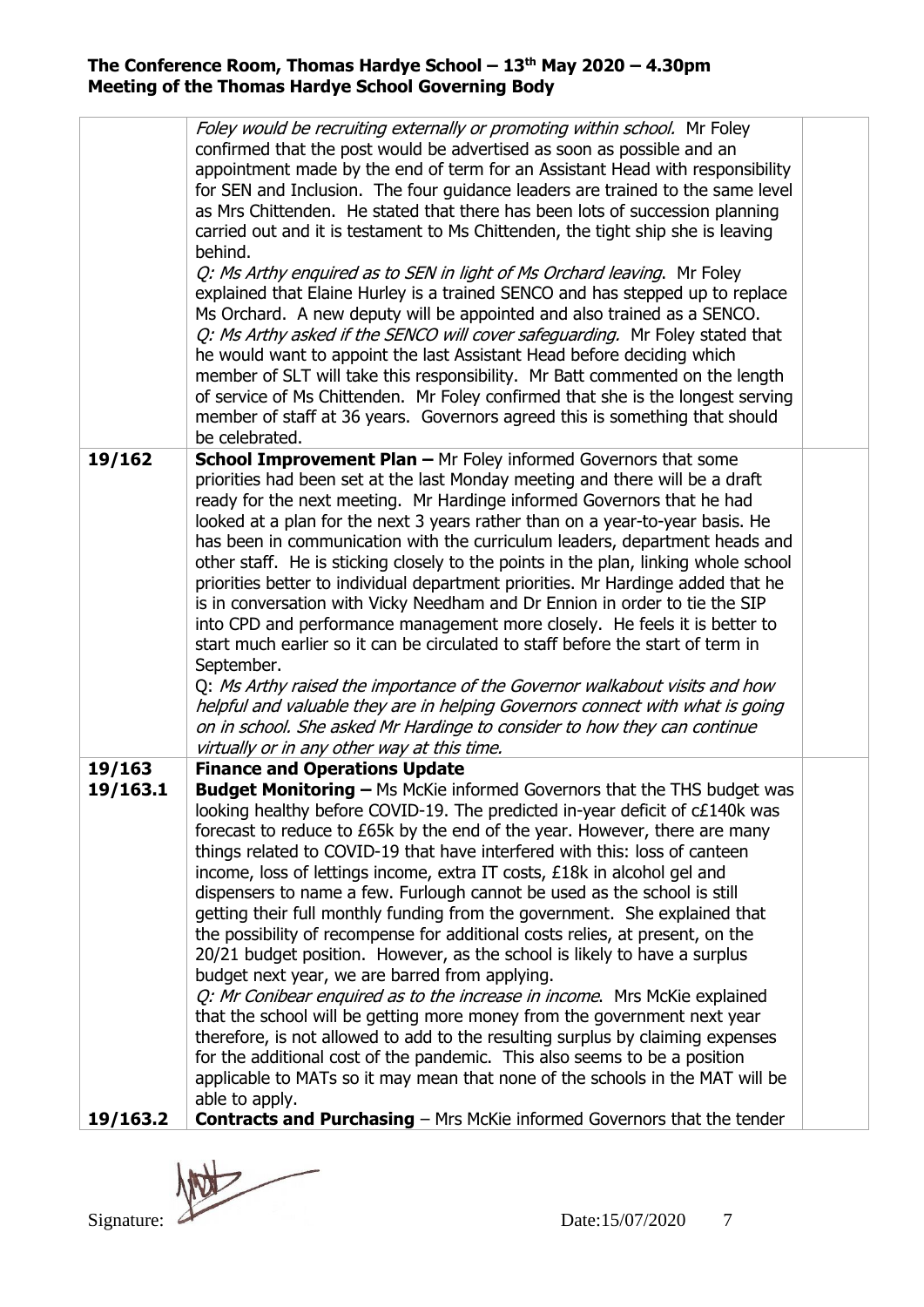|                    | Foley would be recruiting externally or promoting within school. Mr Foley                                                                                       |  |
|--------------------|-----------------------------------------------------------------------------------------------------------------------------------------------------------------|--|
|                    | confirmed that the post would be advertised as soon as possible and an                                                                                          |  |
|                    | appointment made by the end of term for an Assistant Head with responsibility<br>for SEN and Inclusion. The four guidance leaders are trained to the same level |  |
|                    | as Mrs Chittenden. He stated that there has been lots of succession planning                                                                                    |  |
|                    | carried out and it is testament to Ms Chittenden, the tight ship she is leaving                                                                                 |  |
|                    | behind.                                                                                                                                                         |  |
|                    | Q: Ms Arthy enquired as to SEN in light of Ms Orchard leaving. Mr Foley                                                                                         |  |
|                    | explained that Elaine Hurley is a trained SENCO and has stepped up to replace                                                                                   |  |
|                    | Ms Orchard. A new deputy will be appointed and also trained as a SENCO.<br>Q: Ms Arthy asked if the SENCO will cover safeguarding. Mr Foley stated that         |  |
|                    | he would want to appoint the last Assistant Head before deciding which                                                                                          |  |
|                    | member of SLT will take this responsibility. Mr Batt commented on the length                                                                                    |  |
|                    | of service of Ms Chittenden. Mr Foley confirmed that she is the longest serving                                                                                 |  |
|                    | member of staff at 36 years. Governors agreed this is something that should                                                                                     |  |
|                    | be celebrated.                                                                                                                                                  |  |
| 19/162             | <b>School Improvement Plan - Mr Foley informed Governors that some</b>                                                                                          |  |
|                    | priorities had been set at the last Monday meeting and there will be a draft<br>ready for the next meeting. Mr Hardinge informed Governors that he had          |  |
|                    | looked at a plan for the next 3 years rather than on a year-to-year basis. He                                                                                   |  |
|                    | has been in communication with the curriculum leaders, department heads and                                                                                     |  |
|                    | other staff. He is sticking closely to the points in the plan, linking whole school                                                                             |  |
|                    | priorities better to individual department priorities. Mr Hardinge added that he                                                                                |  |
|                    | is in conversation with Vicky Needham and Dr Ennion in order to tie the SIP                                                                                     |  |
|                    | into CPD and performance management more closely. He feels it is better to<br>start much earlier so it can be circulated to staff before the start of term in   |  |
|                    | September.                                                                                                                                                      |  |
|                    | Q: Ms Arthy raised the importance of the Governor walkabout visits and how                                                                                      |  |
|                    | helpful and valuable they are in helping Governors connect with what is going                                                                                   |  |
|                    | on in school. She asked Mr Hardinge to consider to how they can continue                                                                                        |  |
|                    | virtually or in any other way at this time.                                                                                                                     |  |
| 19/163<br>19/163.1 | <b>Finance and Operations Update</b><br>Budget Monitoring - Ms McKie informed Governors that the THS budget was                                                 |  |
|                    | looking healthy before COVID-19. The predicted in-year deficit of c£140k was                                                                                    |  |
|                    | forecast to reduce to £65k by the end of the year. However, there are many                                                                                      |  |
|                    | things related to COVID-19 that have interfered with this: loss of canteen                                                                                      |  |
|                    | income, loss of lettings income, extra IT costs, £18k in alcohol gel and                                                                                        |  |
|                    | dispensers to name a few. Furlough cannot be used as the school is still                                                                                        |  |
|                    | getting their full monthly funding from the government. She explained that                                                                                      |  |
|                    | the possibility of recompense for additional costs relies, at present, on the<br>20/21 budget position. However, as the school is likely to have a surplus      |  |
|                    | budget next year, we are barred from applying.                                                                                                                  |  |
|                    | Q: Mr Conibear enquired as to the increase in income. Mrs McKie explained                                                                                       |  |
|                    | that the school will be getting more money from the government next year                                                                                        |  |
|                    | therefore, is not allowed to add to the resulting surplus by claiming expenses                                                                                  |  |
|                    | for the additional cost of the pandemic. This also seems to be a position                                                                                       |  |
|                    | applicable to MATs so it may mean that none of the schools in the MAT will be<br>able to apply.                                                                 |  |
| 19/163.2           | <b>Contracts and Purchasing</b> – Mrs McKie informed Governors that the tender                                                                                  |  |
|                    |                                                                                                                                                                 |  |